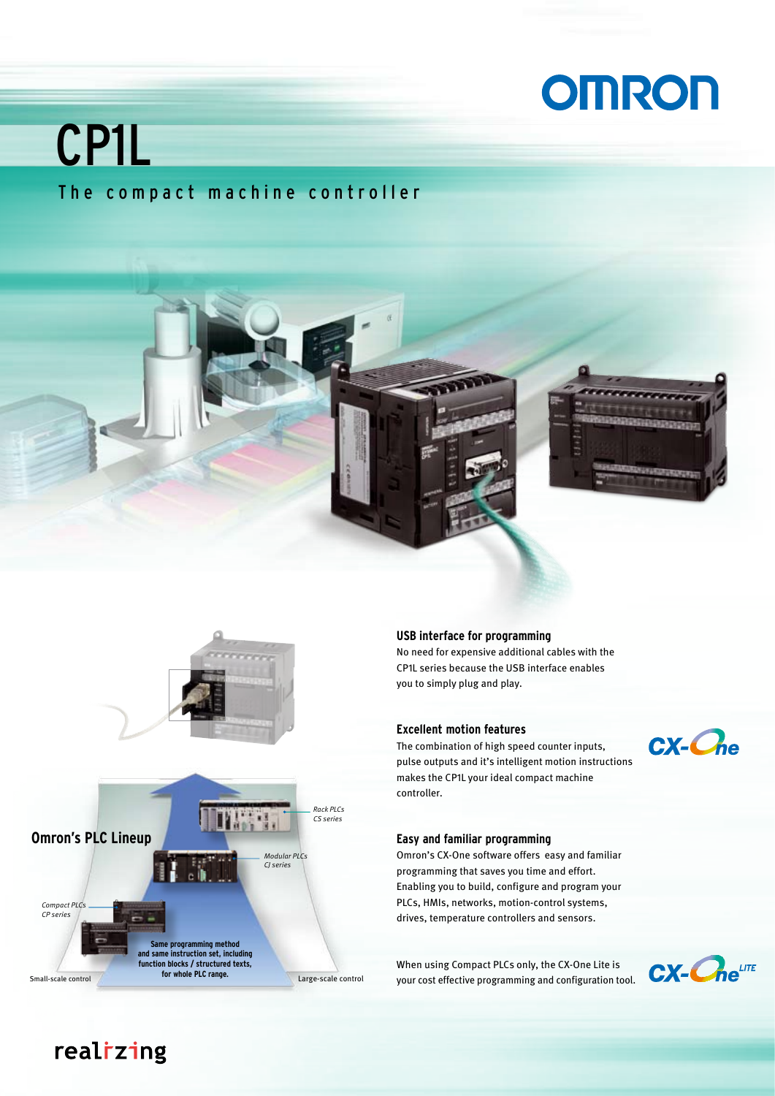# **OMRON**

# CP1L

### The compact machine controller





#### **USB interface for programming**

No need for expensive additional cables with the CP1L series because the USB interface enables you to simply plug and play.

#### **Excellent motion features**

The combination of high speed counter inputs, pulse outputs and it's intelligent motion instructions makes the CP1L your ideal compact machine controller.

### CX-Che

#### **Easy and familiar programming**

Omron's CX-One software offers easy and familiar programming that saves you time and effort. Enabling you to build, configure and program your PLCs, HMIs, networks, motion-control systems, drives, temperature controllers and sensors.

When using Compact PLCs only, the CX-One Lite is your cost effective programming and configuration tool.



### realizing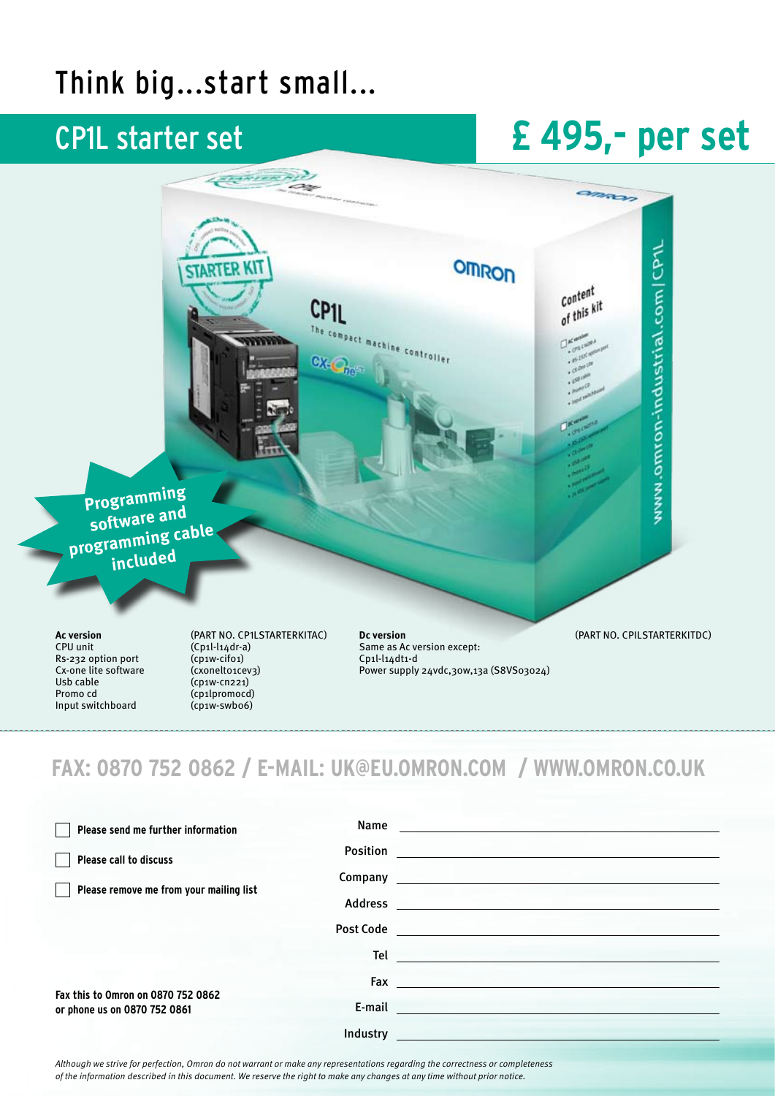### Think big...start small...

### CP1L starter set

# **£ 495,- per set**



### **FAX: 0870 752 0862 / E-MAIL: uk@eu.omron.com / www.omron.co.uk**

| Please send me further information                                 |                          | Name and the contract of the contract of the contract of the contract of the contract of the contract of the contract of the contract of the contract of the contract of the contract of the contract of the contract of the c |
|--------------------------------------------------------------------|--------------------------|--------------------------------------------------------------------------------------------------------------------------------------------------------------------------------------------------------------------------------|
| Please call to discuss                                             |                          |                                                                                                                                                                                                                                |
| Please remove me from your mailing list                            |                          |                                                                                                                                                                                                                                |
|                                                                    |                          |                                                                                                                                                                                                                                |
|                                                                    | Post Code <b>Service</b> |                                                                                                                                                                                                                                |
|                                                                    |                          | Teler and the second state of the second state of the second state of the second state of the second state of                                                                                                                  |
|                                                                    |                          |                                                                                                                                                                                                                                |
| Fax this to Omron on 0870 752 0862<br>or phone us on 0870 752 0861 |                          | E-mail and the contract of the contract of the contract of the contract of the contract of the contract of the                                                                                                                 |
|                                                                    | Industry                 |                                                                                                                                                                                                                                |

*Although we strive for perfection, Omron do not warrant or make any representations regarding the correctness or completeness of the information described in this document. We reserve the right to make any changes at any time without prior notice.*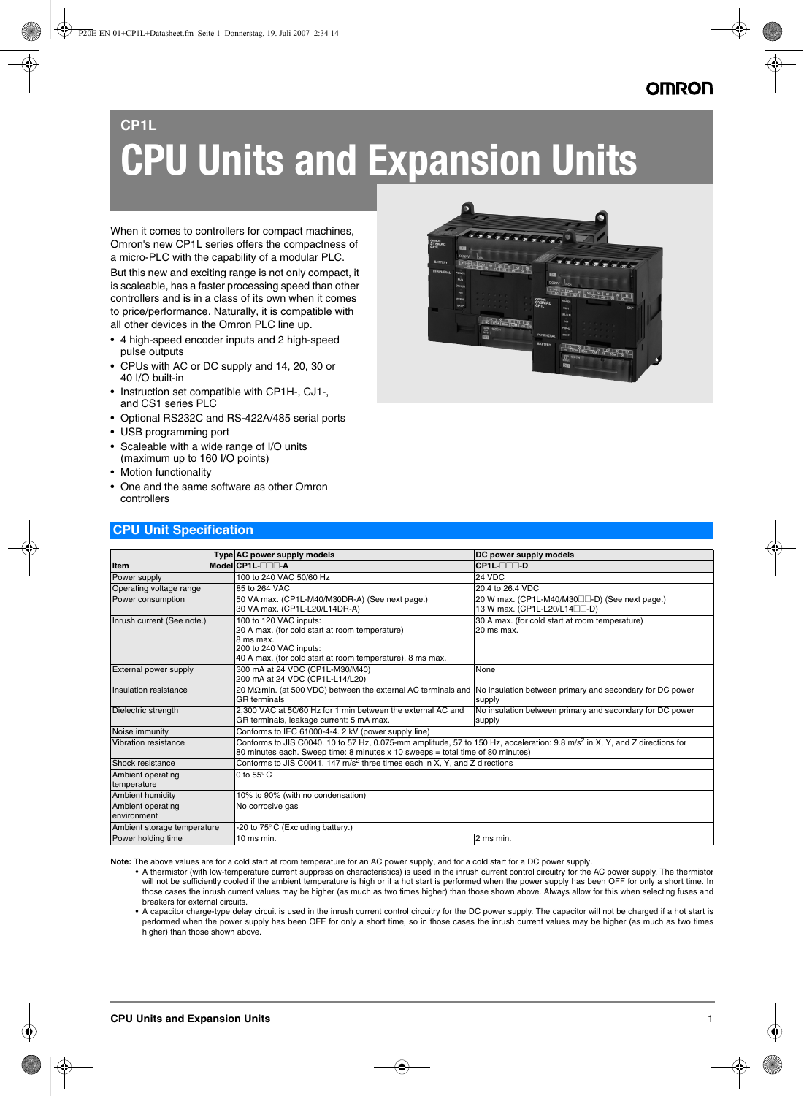## **CP1L CPU Units and Expansion Units**

When it comes to controllers for compact machines, Omron's new CP1L series offers the compactness of a micro-PLC with the capability of a modular PLC.

But this new and exciting range is not only compact, it is scaleable, has a faster processing speed than other controllers and is in a class of its own when it comes to price/performance. Naturally, it is compatible with all other devices in the Omron PLC line up.

- 4 high-speed encoder inputs and 2 high-speed pulse outputs
- CPUs with AC or DC supply and 14, 20, 30 or 40 I/O built-in
- Instruction set compatible with CP1H-, CJ1-, and CS1 series PLC
- Optional RS232C and RS-422A/485 serial ports
- USB programming port

**CPU Unit Specification**

- Scaleable with a wide range of I/O units (maximum up to 160 I/O points)
- Motion functionality
- One and the same software as other Omron controllers



|                                  | Type AC power supply models                                                                                                                                                                                              | DC power supply models                                                                     |
|----------------------------------|--------------------------------------------------------------------------------------------------------------------------------------------------------------------------------------------------------------------------|--------------------------------------------------------------------------------------------|
| <b>Item</b>                      | Model CP1L-OOD-A                                                                                                                                                                                                         | CP1L- <sub>111</sub> -D                                                                    |
| Power supply                     | 100 to 240 VAC 50/60 Hz                                                                                                                                                                                                  | 24 VDC                                                                                     |
| Operating voltage range          | 85 to 264 VAC                                                                                                                                                                                                            | 20.4 to 26.4 VDC                                                                           |
| Power consumption                | 50 VA max. (CP1L-M40/M30DR-A) (See next page.)<br>30 VA max. (CP1L-L20/L14DR-A)                                                                                                                                          | 20 W max. (CP1L-M40/M30□□-D) (See next page.)<br>13 W max. (CP1L-L20/L14 <sup>1</sup> D-D) |
| Inrush current (See note.)       | 100 to 120 VAC inputs:<br>20 A max. (for cold start at room temperature)<br>8 ms max.<br>200 to 240 VAC inputs:<br>40 A max. (for cold start at room temperature), 8 ms max.                                             | 30 A max. (for cold start at room temperature)<br>20 ms max.                               |
| External power supply            | 300 mA at 24 VDC (CP1L-M30/M40)<br>200 mA at 24 VDC (CP1L-L14/L20)                                                                                                                                                       | None                                                                                       |
| Insulation resistance            | 20 MΩmin. (at 500 VDC) between the external AC terminals and  No insulation between primary and secondary for DC power<br><b>GR</b> terminals                                                                            | supply                                                                                     |
| Dielectric strength              | 2.300 VAC at 50/60 Hz for 1 min between the external AC and<br>GR terminals, leakage current: 5 mA max.                                                                                                                  | No insulation between primary and secondary for DC power<br>supply                         |
| Noise immunity                   | Conforms to IEC 61000-4-4. 2 kV (power supply line)                                                                                                                                                                      |                                                                                            |
| Vibration resistance             | Conforms to JIS C0040. 10 to 57 Hz, 0.075-mm amplitude, 57 to 150 Hz, acceleration: 9.8 m/s <sup>2</sup> in X, Y, and Z directions for<br>80 minutes each. Sweep time: 8 minutes x 10 sweeps = total time of 80 minutes) |                                                                                            |
| Shock resistance                 | Conforms to JIS C0041. 147 m/s <sup>2</sup> three times each in X, Y, and Z directions                                                                                                                                   |                                                                                            |
| Ambient operating<br>temperature | 0 to $55^{\circ}$ C                                                                                                                                                                                                      |                                                                                            |
| Ambient humidity                 | 10% to 90% (with no condensation)                                                                                                                                                                                        |                                                                                            |
| Ambient operating<br>environment | No corrosive gas                                                                                                                                                                                                         |                                                                                            |
| Ambient storage temperature      | -20 to 75° C (Excluding battery.)                                                                                                                                                                                        |                                                                                            |
| Power holding time               | $10$ ms min.                                                                                                                                                                                                             | 2 ms min.                                                                                  |

**Note:** The above values are for a cold start at room temperature for an AC power supply, and for a cold start for a DC power supply.

• A thermistor (with low-temperature current suppression characteristics) is used in the inrush current control circuitry for the AC power supply. The thermistor will not be sufficiently cooled if the ambient temperature is high or if a hot start is performed when the power supply has been OFF for only a short time. In those cases the inrush current values may be higher (as much as two times higher) than those shown above. Always allow for this when selecting fuses and breakers for external circuits.

• A capacitor charge-type delay circuit is used in the inrush current control circuitry for the DC power supply. The capacitor will not be charged if a hot start is performed when the power supply has been OFF for only a short time, so in those cases the inrush current values may be higher (as much as two times higher) than those shown above.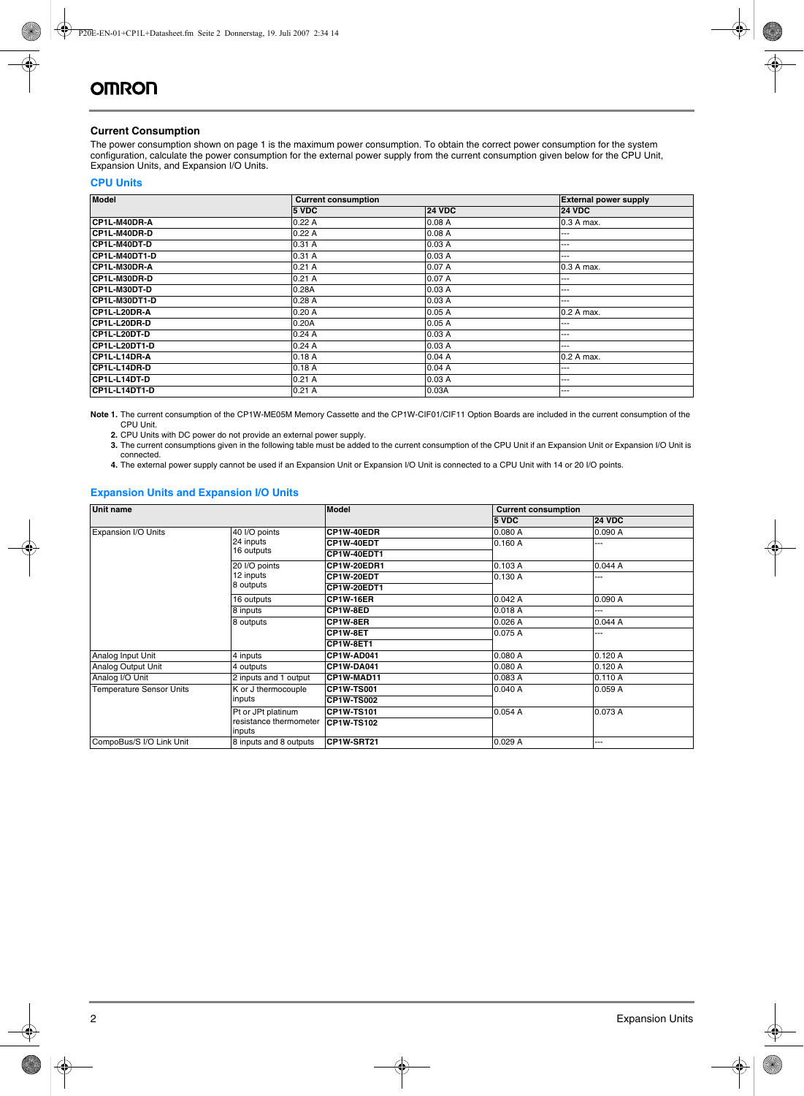#### **Current Consumption**

The power consumption shown on page 1 is the maximum power consumption. To obtain the correct power consumption for the system configuration, calculate the power consumption for the external power supply from the current consumption given below for the CPU Unit, Expansion Units, and Expansion I/O Units.

#### **CPU Units**

| <b>Model</b>         | <b>Current consumption</b> |               | <b>External power supply</b> |  |  |
|----------------------|----------------------------|---------------|------------------------------|--|--|
|                      | 5 VDC                      | <b>24 VDC</b> | <b>24 VDC</b>                |  |  |
| CP1L-M40DR-A         | 0.22A                      | 0.08A         | 0.3 A max.                   |  |  |
| <b>CP1L-M40DR-D</b>  | 0.22A                      | 0.08A         | ---                          |  |  |
| <b>CP1L-M40DT-D</b>  | 0.31A                      | 0.03A         | ---                          |  |  |
| <b>CP1L-M40DT1-D</b> | 0.31A                      | 0.03A         | ---                          |  |  |
| <b>CP1L-M30DR-A</b>  | 0.21A                      | 0.07A         | 0.3 A max.                   |  |  |
| CP1L-M30DR-D         | 0.21A                      | 0.07A         | ---                          |  |  |
| CP1L-M30DT-D         | 0.28A                      | 0.03A         | ---                          |  |  |
| CP1L-M30DT1-D        | 0.28A                      | 0.03A         | ---                          |  |  |
| CP1L-L20DR-A         | 0.20A                      | 0.05A         | 0.2 A max.                   |  |  |
| CP1L-L20DR-D         | 0.20A                      | 0.05A         | ---                          |  |  |
| CP1L-L20DT-D         | 0.24A                      | 0.03A         | ---                          |  |  |
| CP1L-L20DT1-D        | 0.24A                      | 0.03A         | ---                          |  |  |
| CP1L-L14DR-A         | 0.18A                      | 0.04A         | 0.2 A max.                   |  |  |
| CP1L-L14DR-D         | 0.18A                      | 0.04A         | ---                          |  |  |
| CP1L-L14DT-D         | 0.21A                      | 0.03A         | ---                          |  |  |
| CP1L-L14DT1-D        | 0.21A                      | 0.03A         | ---                          |  |  |

**Note 1.** The current consumption of the CP1W-ME05M Memory Cassette and the CP1W-CIF01/CIF11 Option Boards are included in the current consumption of the CPU Unit.

**2.** CPU Units with DC power do not provide an external power supply.

**3.** The current consumptions given in the following table must be added to the current consumption of the CPU Unit if an Expansion Unit or Expansion I/O Unit is connected.

**4.** The external power supply cannot be used if an Expansion Unit or Expansion I/O Unit is connected to a CPU Unit with 14 or 20 I/O points.

#### **Expansion Units and Expansion I/O Units**

| <b>Unit name</b>                |                                  | <b>Model</b>      |         | <b>Current consumption</b> |  |  |  |
|---------------------------------|----------------------------------|-------------------|---------|----------------------------|--|--|--|
|                                 |                                  |                   | 5 VDC   | <b>24 VDC</b>              |  |  |  |
| Expansion I/O Units             | 40 I/O points                    | CP1W-40EDR        | 0.080 A | 0.090 A                    |  |  |  |
|                                 | 24 inputs                        | CP1W-40EDT        | 0.160A  | ---                        |  |  |  |
|                                 | 16 outputs                       | CP1W-40EDT1       |         |                            |  |  |  |
|                                 | 20 I/O points                    | CP1W-20EDR1       | 0.103 A | 0.044A                     |  |  |  |
|                                 | 12 inputs                        | CP1W-20EDT        | 0.130 A | ---                        |  |  |  |
|                                 | 8 outputs                        | CP1W-20EDT1       |         |                            |  |  |  |
|                                 | 16 outputs                       | <b>CP1W-16ER</b>  | 0.042A  | 0.090A                     |  |  |  |
|                                 | 8 inputs                         | CP1W-8ED          | 0.018 A | .                          |  |  |  |
|                                 | 8 outputs                        | CP1W-8ER          | 0.026A  | 0.044A                     |  |  |  |
|                                 |                                  | CP1W-8ET          | 0.075 A | ---                        |  |  |  |
|                                 |                                  | CP1W-8ET1         |         |                            |  |  |  |
| Analog Input Unit               | 4 inputs                         | CP1W-AD041        | 0.080 A | 0.120A                     |  |  |  |
| Analog Output Unit              | 4 outputs                        | CP1W-DA041        | 0.080 A | 0.120A                     |  |  |  |
| Analog I/O Unit                 | 2 inputs and 1 output            | CP1W-MAD11        | 0.083 A | 0.110A                     |  |  |  |
| <b>Temperature Sensor Units</b> | K or J thermocouple              | <b>CP1W-TS001</b> | 0.040A  | 0.059A                     |  |  |  |
|                                 | inputs                           | <b>CP1W-TS002</b> |         |                            |  |  |  |
|                                 | Pt or JPt platinum               | <b>CP1W-TS101</b> | 0.054A  | 0.073 A                    |  |  |  |
|                                 | resistance thermometer<br>inputs | <b>CP1W-TS102</b> |         |                            |  |  |  |
| CompoBus/S I/O Link Unit        | 8 inputs and 8 outputs           | CP1W-SRT21        | 0.029A  | ---                        |  |  |  |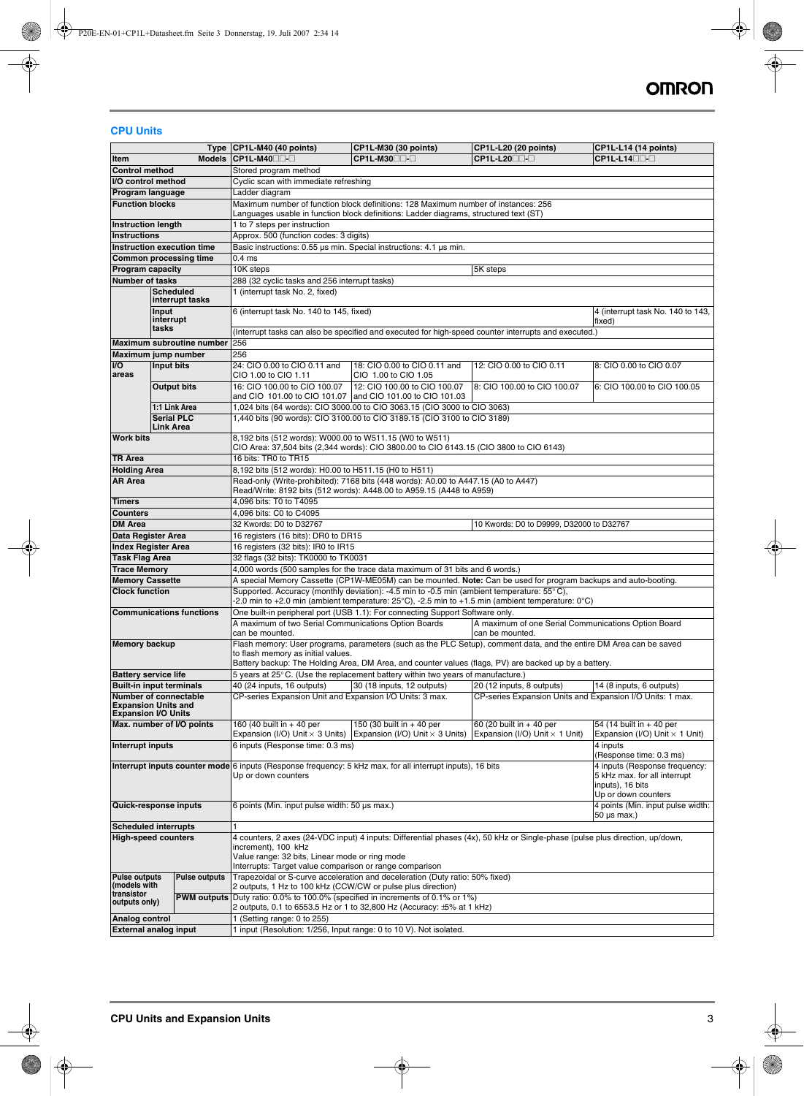#### **CPU Units**

|                                                           |                    |                                 | Type CP1L-M40 (40 points)                                                                                                                                  | CP1L-M30 (30 points)                                                                                                    | CP1L-L20 (20 points)                                                                                 | <b>CP1L-L14 (14 points)</b>                 |  |  |  |  |  |  |  |
|-----------------------------------------------------------|--------------------|---------------------------------|------------------------------------------------------------------------------------------------------------------------------------------------------------|-------------------------------------------------------------------------------------------------------------------------|------------------------------------------------------------------------------------------------------|---------------------------------------------|--|--|--|--|--|--|--|
| ltem                                                      |                    | <b>Models</b>                   | CP1L-M40 <sup>1</sup>                                                                                                                                      | CP1L-M30□□-□                                                                                                            | <b>CP1L-L20</b>                                                                                      | CP1L-L14 <sup>1</sup>                       |  |  |  |  |  |  |  |
| <b>Control method</b>                                     |                    |                                 | Stored program method                                                                                                                                      |                                                                                                                         |                                                                                                      |                                             |  |  |  |  |  |  |  |
| I/O control method                                        |                    |                                 | Cyclic scan with immediate refreshing                                                                                                                      |                                                                                                                         |                                                                                                      |                                             |  |  |  |  |  |  |  |
| Program language                                          |                    |                                 | Ladder diagram                                                                                                                                             |                                                                                                                         |                                                                                                      |                                             |  |  |  |  |  |  |  |
| <b>Function blocks</b>                                    |                    |                                 |                                                                                                                                                            | Maximum number of function block definitions: 128 Maximum number of instances: 256                                      |                                                                                                      |                                             |  |  |  |  |  |  |  |
|                                                           |                    |                                 | Languages usable in function block definitions: Ladder diagrams, structured text (ST)                                                                      |                                                                                                                         |                                                                                                      |                                             |  |  |  |  |  |  |  |
| <b>Instruction length</b>                                 |                    |                                 | 1 to 7 steps per instruction                                                                                                                               |                                                                                                                         |                                                                                                      |                                             |  |  |  |  |  |  |  |
| <b>Instructions</b>                                       |                    |                                 | Approx. 500 (function codes: 3 digits)                                                                                                                     |                                                                                                                         |                                                                                                      |                                             |  |  |  |  |  |  |  |
| Instruction execution time                                |                    |                                 | Basic instructions: 0.55 µs min. Special instructions: 4.1 µs min.                                                                                         |                                                                                                                         |                                                                                                      |                                             |  |  |  |  |  |  |  |
| <b>Common processing time</b>                             |                    |                                 | 0.4 <sub>ms</sub>                                                                                                                                          |                                                                                                                         |                                                                                                      |                                             |  |  |  |  |  |  |  |
| Program capacity                                          |                    |                                 | 10K steps                                                                                                                                                  |                                                                                                                         | 5K steps                                                                                             |                                             |  |  |  |  |  |  |  |
| <b>Number of tasks</b>                                    |                    |                                 | 288 (32 cyclic tasks and 256 interrupt tasks)                                                                                                              |                                                                                                                         |                                                                                                      |                                             |  |  |  |  |  |  |  |
|                                                           | <b>Scheduled</b>   |                                 | 1 (interrupt task No. 2, fixed)                                                                                                                            |                                                                                                                         |                                                                                                      |                                             |  |  |  |  |  |  |  |
|                                                           |                    | interrupt tasks                 |                                                                                                                                                            |                                                                                                                         |                                                                                                      |                                             |  |  |  |  |  |  |  |
|                                                           | Input<br>interrupt |                                 | 6 (interrupt task No. 140 to 145, fixed)                                                                                                                   |                                                                                                                         |                                                                                                      | 4 (interrupt task No. 140 to 143,<br>fixed) |  |  |  |  |  |  |  |
|                                                           | tasks              |                                 |                                                                                                                                                            |                                                                                                                         | (Interrupt tasks can also be specified and executed for high-speed counter interrupts and executed.) |                                             |  |  |  |  |  |  |  |
|                                                           |                    | Maximum subroutine number       | 256                                                                                                                                                        |                                                                                                                         |                                                                                                      |                                             |  |  |  |  |  |  |  |
| Maximum jump number                                       |                    |                                 | 256                                                                                                                                                        |                                                                                                                         |                                                                                                      |                                             |  |  |  |  |  |  |  |
| <b>I/O</b>                                                | Input bits         |                                 | 24: CIO 0.00 to CIO 0.11 and                                                                                                                               | 18: CIO 0.00 to CIO 0.11 and                                                                                            | 12: CIO 0.00 to CIO 0.11                                                                             | 8: CIO 0.00 to CIO 0.07                     |  |  |  |  |  |  |  |
| areas                                                     |                    |                                 | CIO 1.00 to CIO 1.11                                                                                                                                       | CIO 1.00 to CIO 1.05                                                                                                    |                                                                                                      |                                             |  |  |  |  |  |  |  |
|                                                           | <b>Output bits</b> |                                 | 16: CIO 100.00 to CIO 100.07                                                                                                                               | 12: CIO 100.00 to CIO 100.07                                                                                            | 8: CIO 100.00 to CIO 100.07                                                                          | 6: CIO 100.00 to CIO 100.05                 |  |  |  |  |  |  |  |
|                                                           |                    |                                 | and CIO 101.00 to CIO 101.07 and CIO 101.00 to CIO 101.03                                                                                                  |                                                                                                                         |                                                                                                      |                                             |  |  |  |  |  |  |  |
|                                                           | 1:1 Link Area      |                                 | 1,024 bits (64 words): CIO 3000.00 to CIO 3063.15 (CIO 3000 to CIO 3063)                                                                                   |                                                                                                                         |                                                                                                      |                                             |  |  |  |  |  |  |  |
|                                                           | <b>Serial PLC</b>  |                                 |                                                                                                                                                            | 1,440 bits (90 words): CIO 3100.00 to CIO 3189.15 (CIO 3100 to CIO 3189)                                                |                                                                                                      |                                             |  |  |  |  |  |  |  |
|                                                           | <b>Link Area</b>   |                                 |                                                                                                                                                            |                                                                                                                         |                                                                                                      |                                             |  |  |  |  |  |  |  |
| <b>Work bits</b>                                          |                    |                                 | 8,192 bits (512 words): W000.00 to W511.15 (W0 to W511)                                                                                                    |                                                                                                                         |                                                                                                      |                                             |  |  |  |  |  |  |  |
|                                                           |                    |                                 |                                                                                                                                                            | CIO Area: 37,504 bits (2,344 words): CIO 3800.00 to CIO 6143.15 (CIO 3800 to CIO 6143)                                  |                                                                                                      |                                             |  |  |  |  |  |  |  |
| <b>TR Area</b>                                            |                    |                                 | 16 bits: TR0 to TR15                                                                                                                                       |                                                                                                                         |                                                                                                      |                                             |  |  |  |  |  |  |  |
| <b>Holding Area</b>                                       |                    |                                 | 8,192 bits (512 words): H0.00 to H511.15 (H0 to H511)                                                                                                      |                                                                                                                         |                                                                                                      |                                             |  |  |  |  |  |  |  |
| <b>AR Area</b>                                            |                    |                                 | Read-only (Write-prohibited): 7168 bits (448 words): A0.00 to A447.15 (A0 to A447)<br>Read/Write: 8192 bits (512 words): A448.00 to A959.15 (A448 to A959) |                                                                                                                         |                                                                                                      |                                             |  |  |  |  |  |  |  |
| <b>Timers</b>                                             |                    |                                 | 4,096 bits: T0 to T4095                                                                                                                                    |                                                                                                                         |                                                                                                      |                                             |  |  |  |  |  |  |  |
| <b>Counters</b>                                           |                    |                                 | 4,096 bits: C0 to C4095                                                                                                                                    |                                                                                                                         |                                                                                                      |                                             |  |  |  |  |  |  |  |
| <b>DM Area</b>                                            |                    |                                 | 32 Kwords: D0 to D32767                                                                                                                                    |                                                                                                                         | 10 Kwords: D0 to D9999, D32000 to D32767                                                             |                                             |  |  |  |  |  |  |  |
| Data Register Area                                        |                    |                                 | 16 registers (16 bits): DR0 to DR15                                                                                                                        |                                                                                                                         |                                                                                                      |                                             |  |  |  |  |  |  |  |
| <b>Index Register Area</b>                                |                    |                                 | 16 registers (32 bits): IR0 to IR15                                                                                                                        |                                                                                                                         |                                                                                                      |                                             |  |  |  |  |  |  |  |
| <b>Task Flag Area</b>                                     |                    |                                 | 32 flags (32 bits): TK0000 to TK0031                                                                                                                       |                                                                                                                         |                                                                                                      |                                             |  |  |  |  |  |  |  |
| <b>Trace Memory</b>                                       |                    |                                 | 4,000 words (500 samples for the trace data maximum of 31 bits and 6 words.)                                                                               |                                                                                                                         |                                                                                                      |                                             |  |  |  |  |  |  |  |
| <b>Memory Cassette</b>                                    |                    |                                 | A special Memory Cassette (CP1W-ME05M) can be mounted. Note: Can be used for program backups and auto-booting.                                             |                                                                                                                         |                                                                                                      |                                             |  |  |  |  |  |  |  |
| <b>Clock function</b>                                     |                    |                                 | Supported. Accuracy (monthly deviation): -4.5 min to -0.5 min (ambient temperature: $55^{\circ}$ C),                                                       |                                                                                                                         |                                                                                                      |                                             |  |  |  |  |  |  |  |
|                                                           |                    |                                 | -2.0 min to +2.0 min (ambient temperature: 25°C), -2.5 min to +1.5 min (ambient temperature: 0°C)                                                          |                                                                                                                         |                                                                                                      |                                             |  |  |  |  |  |  |  |
|                                                           |                    | <b>Communications functions</b> |                                                                                                                                                            | One built-in peripheral port (USB 1.1): For connecting Support Software only.                                           |                                                                                                      |                                             |  |  |  |  |  |  |  |
|                                                           |                    |                                 | A maximum of two Serial Communications Option Boards                                                                                                       |                                                                                                                         | A maximum of one Serial Communications Option Board                                                  |                                             |  |  |  |  |  |  |  |
|                                                           |                    |                                 | can be mounted.                                                                                                                                            |                                                                                                                         | can be mounted.                                                                                      |                                             |  |  |  |  |  |  |  |
| <b>Memory backup</b>                                      |                    |                                 | Flash memory: User programs, parameters (such as the PLC Setup), comment data, and the entire DM Area can be saved                                         |                                                                                                                         |                                                                                                      |                                             |  |  |  |  |  |  |  |
|                                                           |                    |                                 | to flash memory as initial values.<br>Battery backup: The Holding Area, DM Area, and counter values (flags, PV) are backed up by a battery.                |                                                                                                                         |                                                                                                      |                                             |  |  |  |  |  |  |  |
| <b>Battery service life</b>                               |                    |                                 |                                                                                                                                                            |                                                                                                                         |                                                                                                      |                                             |  |  |  |  |  |  |  |
| <b>Built-in input terminals</b>                           |                    |                                 | 40 (24 inputs, 16 outputs)                                                                                                                                 | 5 years at $25^{\circ}$ C. (Use the replacement battery within two years of manufacture.)<br>30 (18 inputs, 12 outputs) | 20 (12 inputs, 8 outputs)                                                                            | 14 (8 inputs, 6 outputs)                    |  |  |  |  |  |  |  |
| Number of connectable                                     |                    |                                 | CP-series Expansion Unit and Expansion I/O Units: 3 max.                                                                                                   |                                                                                                                         | CP-series Expansion Units and Expansion I/O Units: 1 max.                                            |                                             |  |  |  |  |  |  |  |
| <b>Expansion Units and</b>                                |                    |                                 |                                                                                                                                                            |                                                                                                                         |                                                                                                      |                                             |  |  |  |  |  |  |  |
| <b>Expansion I/O Units</b>                                |                    |                                 |                                                                                                                                                            |                                                                                                                         |                                                                                                      |                                             |  |  |  |  |  |  |  |
| Max. number of I/O points                                 |                    |                                 | 160 (40 built in + 40 per                                                                                                                                  | 150 (30 built in + 40 per                                                                                               | 60 (20 built in + 40 per                                                                             | 54 (14 built in + 40 per                    |  |  |  |  |  |  |  |
|                                                           |                    |                                 | Expansion (I/O) Unit $\times$ 3 Units)                                                                                                                     | Expansion (I/O) Unit $\times$ 3 Units)                                                                                  | Expansion (I/O) Unit $\times$ 1 Unit)                                                                | Expansion (I/O) Unit $\times$ 1 Unit)       |  |  |  |  |  |  |  |
| Interrupt inputs                                          |                    |                                 | 6 inputs (Response time: 0.3 ms)                                                                                                                           |                                                                                                                         |                                                                                                      | 4 inputs<br>(Response time: 0.3 ms)         |  |  |  |  |  |  |  |
|                                                           |                    |                                 | Interrupt inputs counter mode 6 inputs (Response frequency: 5 kHz max, for all interrupt inputs), 16 bits                                                  |                                                                                                                         |                                                                                                      | 4 inputs (Response frequency:               |  |  |  |  |  |  |  |
|                                                           |                    |                                 | Up or down counters                                                                                                                                        |                                                                                                                         |                                                                                                      | 5 kHz max. for all interrupt                |  |  |  |  |  |  |  |
|                                                           |                    |                                 |                                                                                                                                                            |                                                                                                                         |                                                                                                      | inputs), 16 bits                            |  |  |  |  |  |  |  |
|                                                           |                    |                                 |                                                                                                                                                            |                                                                                                                         |                                                                                                      | Up or down counters                         |  |  |  |  |  |  |  |
| Quick-response inputs                                     |                    |                                 | 6 points (Min. input pulse width: 50 µs max.)                                                                                                              |                                                                                                                         |                                                                                                      | 4 points (Min. input pulse width:           |  |  |  |  |  |  |  |
|                                                           |                    |                                 |                                                                                                                                                            |                                                                                                                         |                                                                                                      | $50 \mu s$ max.)                            |  |  |  |  |  |  |  |
| <b>Scheduled interrupts</b><br><b>High-speed counters</b> |                    |                                 |                                                                                                                                                            |                                                                                                                         |                                                                                                      |                                             |  |  |  |  |  |  |  |
|                                                           |                    |                                 | 4 counters, 2 axes (24-VDC input) 4 inputs: Differential phases (4x), 50 kHz or Single-phase (pulse plus direction, up/down,<br>increment), 100 kHz        |                                                                                                                         |                                                                                                      |                                             |  |  |  |  |  |  |  |
|                                                           |                    |                                 | Value range: 32 bits, Linear mode or ring mode                                                                                                             |                                                                                                                         |                                                                                                      |                                             |  |  |  |  |  |  |  |
|                                                           |                    |                                 | Interrupts: Target value comparison or range comparison                                                                                                    |                                                                                                                         |                                                                                                      |                                             |  |  |  |  |  |  |  |
| <b>Pulse outputs</b>                                      |                    | <b>Pulse outputs</b>            |                                                                                                                                                            | Trapezoidal or S-curve acceleration and deceleration (Duty ratio: 50% fixed)                                            |                                                                                                      |                                             |  |  |  |  |  |  |  |
| (models with<br>transistor                                |                    |                                 | 2 outputs, 1 Hz to 100 kHz (CCW/CW or pulse plus direction)                                                                                                |                                                                                                                         |                                                                                                      |                                             |  |  |  |  |  |  |  |
| outputs only)                                             |                    |                                 | <b>PWM outputs</b> Duty ratio: 0.0% to 100.0% (specified in increments of 0.1% or 1%)                                                                      |                                                                                                                         |                                                                                                      |                                             |  |  |  |  |  |  |  |
|                                                           |                    |                                 |                                                                                                                                                            | 2 outputs, 0.1 to 6553.5 Hz or 1 to 32,800 Hz (Accuracy: $\pm 5\%$ at 1 kHz)                                            |                                                                                                      |                                             |  |  |  |  |  |  |  |
| Analog control                                            |                    |                                 | 1 (Setting range: 0 to 255)                                                                                                                                |                                                                                                                         |                                                                                                      |                                             |  |  |  |  |  |  |  |
| <b>External analog input</b>                              |                    |                                 | 1 input (Resolution: 1/256, Input range: 0 to 10 V). Not isolated.                                                                                         |                                                                                                                         |                                                                                                      |                                             |  |  |  |  |  |  |  |